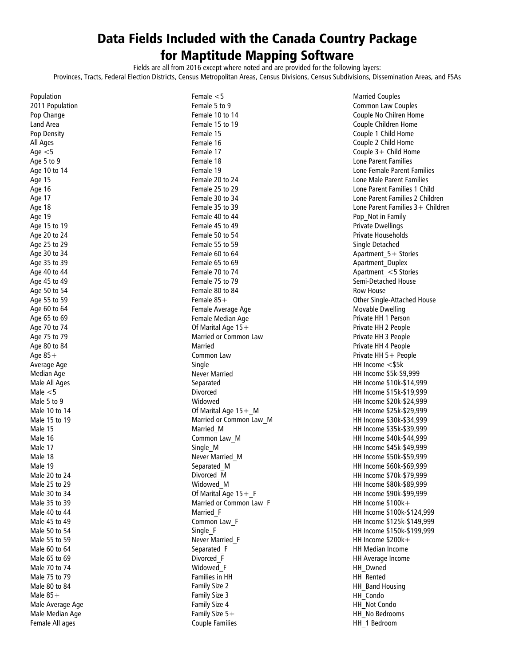## Data Fields Included with the Canada Country Package for Maptitude Mapping Software

Fields are all from 2016 except where noted and are provided for the following layers:

Provinces, Tracts, Federal Election Districts, Census Metropolitan Areas, Census Divisions, Census Subdivisions, Dissemination Areas, and FSAs

| Population                                  |
|---------------------------------------------|
| 2011 Population                             |
| Pop Change                                  |
| Land Area                                   |
| Pop Density                                 |
| All Ages                                    |
| Age $<$ 5                                   |
| Age 5 to 9                                  |
| Age 10 to 14                                |
|                                             |
| Age 15                                      |
|                                             |
| Age 16<br>Age 17<br>Age 18                  |
|                                             |
| Age 19                                      |
| Age 15 to 19                                |
| Age 20 to 24                                |
| Age 25 to 29<br>Age 30 to 34                |
|                                             |
| Age 35 to 39                                |
| Age 40 to 44                                |
| Age 45 to 49                                |
| Age 50 to 54                                |
| Age 55 to 59                                |
| Age 60 to 64                                |
| Age 65 to 69                                |
| Age 70 to 74                                |
| Age 75 to 79                                |
| Age 80 to 84                                |
|                                             |
| Age 85+                                     |
| Average Age                                 |
| <b>Median Age</b>                           |
| Male All Ages                               |
| Male $<$ 5                                  |
| Male 5 to 9                                 |
| Male 10 to 14<br>Male 15 to 19<br>Male 15   |
|                                             |
|                                             |
| Male 16                                     |
| Male 17                                     |
| Male 18<br>Male 19                          |
|                                             |
| mare : 2<br>Male 20 to 24                   |
| Male 25 to 29                               |
| Male 30 to 34                               |
| Male 35 to 39                               |
| Male 40 to 44                               |
| Male 45 to 49                               |
| Male 50 to 54                               |
| Male 55 to 59                               |
| Male 60 to 64                               |
| Male 65 to 69                               |
| Male 70 to 74                               |
|                                             |
| Male 75 to <mark>79</mark><br>Male 80 to 84 |
| Male $85+$                                  |
| Male Average Age                            |
|                                             |
|                                             |
| Male Median Age<br>Female All ages          |

Female <5 Female 5 to 9 Female 10 to 14 Female 15 to 19 Female 15 Female 16 Female 17 Female 18 Female 19 Female 20 to 24 Female 25 to 29 Female 30 to 34 Female 35 to 39 Female 40 to 44 Female 45 to 49 Female 50 to 54 Female 55 to 59 Female 60 to 64 Female 65 to 69 Female 70 to 74 Female 75 to 79 Female 80 to 84 Female 85+ Female Average Age Female Median Age Of Marital Age 15+ Married or Common Law Married Common Law Single Never Married Separated Divorced Widowed Of Marital Age 15+ M Married or Common Law\_M Married\_M Common Law\_M Single\_M Never Married\_M Separated\_M Divorced\_M Widowed\_M Of Marital Age 15+ F Married or Common Law\_F Married\_F Common Law\_F Single\_F Never Married\_F Separated\_F Divorced\_F Widowed\_F Families in HH Family Size 2 Family Size 3 Family Size 4 Family Size 5+ Couple Families

Married Couples Common Law Couples Couple No Chilren Home Couple Children Home Couple 1 Child Home Couple 2 Child Home Couple  $3+$  Child Home Lone Parent Families Lone Female Parent Families Lone Male Parent Families Lone Parent Families 1 Child Lone Parent Families 2 Children Lone Parent Families 3+ Children Pop\_Not in Family Private Dwellings Private Households Single Detached Apartment\_5+ Stories Apartment\_Duplex Apartment\_<5 Stories Semi-Detached House Row House Other Single-Attached House Movable Dwelling Private HH 1 Person Private HH 2 People Private HH 3 People Private HH 4 People Private HH 5+ People HH Income <\$5k HH Income \$5k-\$9,999 HH Income \$10k-\$14,999 HH Income \$15k-\$19,999 HH Income \$20k-\$24,999 HH Income \$25k-\$29,999 HH Income \$30k-\$34,999 HH Income \$35k-\$39,999 HH Income \$40k-\$44,999 HH Income \$45k-\$49,999 HH Income \$50k-\$59,999 HH Income \$60k-\$69,999 HH Income \$70k-\$79,999 HH Income \$80k-\$89,999 HH Income \$90k-\$99,999 HH Income \$100k+ HH Income \$100k-\$124,999 HH Income \$125k-\$149,999 HH Income \$150k-\$199,999 HH Income \$200k+ HH Median Income HH Average Income HH Owned HH Rented HH Band Housing HH\_Condo HH\_Not Condo HH\_No Bedrooms HH\_1 Bedroom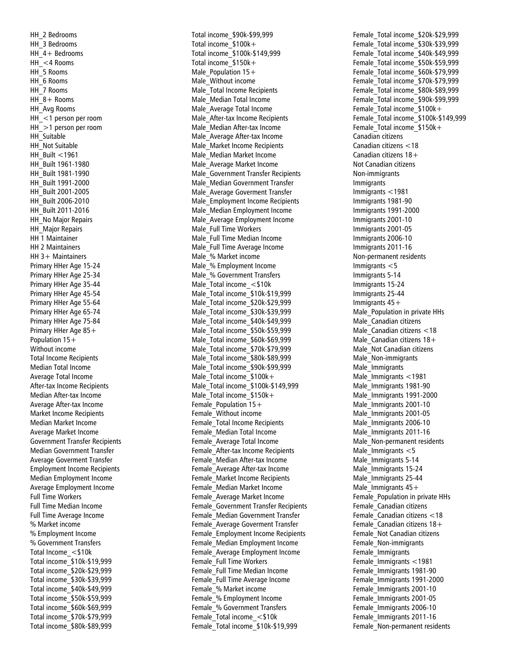HH\_2 Bedrooms HH 3 Bedrooms HH 4+ Bedrooms HH\_<4 Rooms HH\_5 Rooms HH\_6 Rooms HH\_7 Rooms HH 8+ Rooms HH\_Avg Rooms HH\_<1 person per room HH\_>1 person per room HH Suitable HH Not Suitable HH\_Built <1961 HH\_Built 1961 -1980 HH\_Built 1981 -1990 HH\_Built 1991 -2000 HH\_Built 2001 -2005 HH\_Built 2006 -2010 HH\_Built 2011 -2016 HH\_No Major Repairs HH Major Repairs HH 1 Maintainer HH 2 Maintainers HH 3+ Maintainers Primary HHer Age 15 -24 Primary HHer Age 25 -34 Primary HHer Age 35 -44 Primary HHer Age 45 -54 Primary HHer Age 55 -64 Primary HHer Age 65 -74 Primary HHer Age 75 -84 Primary HHer Age 85+ Population 15+ Without income Total Income Recipients Median Total Income Average Total Income After -tax Income Recipients Median After -tax Income Average After -tax Income Market Income Recipients Median Market Income Average Market Income Government Transfer Recipients Median Government Transfer Average Goverment Transfer Employment Income Recipients Median Employment Income Average Employment Income Full Time Workers Full Time Median Income Full Time Average Income % Market income % Employment Income % Government Transfers Total Income\_<\$10k Total income\_\$10k -\$19,999 Total income\_\$20k -\$29,999 Total income\_\$30k -\$39,999 Total income\_\$40k -\$49,999 Total income\_\$50k -\$59,999 Total income\_\$60k -\$69,999 Total income\_\$70k -\$79,999 Total income\_\$80k -\$89,999

Total income\_\$90k -\$99,999 Total income\_\$100k+ Total income\_\$100k -\$149,999 Total income\_\$150k+ Male Population  $15+$ Male\_Without income Male\_Total Income Recipients Male\_Median Total Income Male\_Average Total Income Male\_After -tax Income Recipients Male\_Median After -tax Income Male\_Average After -tax Income Male\_Market Income Recipients Male\_Median Market Income Male\_Average Market Income Male\_Government Transfer Recipients Male\_Median Government Transfer Male\_Average Goverment Transfer Male\_Employment Income Recipients Male\_Median Employment Income Male\_Average Employment Income Male\_Full Time Workers Male\_Full Time Median Income Male\_Full Time Average Income Male\_% Market income Male\_% Employment Income Male\_% Government Transfers Male\_Total income\_<\$10k Male Total income \$10k-\$19,999 Male Total income \$20k-\$29,999 Male\_Total income\_\$30k -\$39,999 Male Total income \$40k-\$49,999 Male Total income \$50k-\$59,999 Male\_Total income\_\$60k -\$69,99 9 Male Total income \$70k-\$79,999 Male Total income \$80k-\$89,999 Male\_Total income\_\$90k -\$99,999 Male\_Total income\_\$100k+ Male\_Total income\_\$100k -\$149,999 Male Total income \$150k+ Female Population  $15+$ Female\_Without income Female\_Total Income Recipients Female\_Median Total Income Female\_Average Total Income Female\_After -tax Income Recipients Female\_Median After -tax Income Female Average After-tax Income Female\_Market Income Recipients Female\_Median Market Income Female\_Average Market Income Female\_Government Transfer Recipients Female\_Median Government Transfer Female\_Average Goverment Transfer Female\_Employment Income Recipients Female\_Median Employment Income Female\_Average Employment Income Female\_Full Time Workers Female\_Full Time Median Income Female\_Full Time Average Income Female\_% Market income Female\_% Employment Income Female\_% Government Transfers Female\_Total income\_<\$10k Female Total income \$10k-\$19,999

Female\_Total income\_\$20k -\$29,999 Female Total income \$30k-\$39,999 Female Total income \$40k-\$49,999 Female\_Total income\_\$50k -\$59,999 Female\_Total income\_\$60k -\$79,999 Female Total income \$70k-\$79,999 Female\_Total income\_\$80k -\$89,999 Female Total income \$90k-\$99,999 Female\_Total income\_\$100k+ Female\_Total income\_\$100k -\$149,999 Female\_Total income\_\$150k+ Canadian citizens Canadian citizens <18 Canadian citizens 18+ Not Canadian citizens Non -immigrants Immigrants Immigrants <1981 Immigrants 1981 -90 Immigrants 1991 -2000 Immigrants 2001 -10 Immigrants 2001 -05 Immigrants 2006 -10 Immigrants 2011 -16 Non -permanent residents Immigrants <5 Immigrants 5 -14 Immigrants 15 -24 Immigrants 25 -44 Immigrants 45+ Male\_Population in private HHs Male\_Canadian citizens Male\_Canadian citizens <18 Male Canadian citizens 18+ Male\_Not Canadian citizens Male\_Non -immigrants Male\_Immigrants Male\_Immigrants <1981 Male\_Immigrants 1981 -90 Male\_Immigrants 1991 -2000 Male Immigrants 2001-10 Male\_Immigrants 2001 -05 Male\_Immigrants 2006 -10 Male\_Immigrants 2011 -16 Male\_Non -permanent residents Male  $Imm$ igrants  $<$ 5 Male Immigrants 5-14 Male\_Immigrants 15 -24 Male\_Immigrants 25 -44 Male Immigrants  $45+$ Female\_Population in private HHs Female\_Canadian citizens Female\_Canadian citizens <18 Female Canadian citizens  $18+$ Female\_Not Canadian citizens Female\_Non -immigrants Female\_Immigrants Female\_Immigrants <1981 Female\_Immigrants 1981 -90 Female\_Immigrants 1991 -2000 Female\_Immigrants 2001 -10 Female\_Immigrants 2001 -05 Female\_Immigrants 2006 -10 Female\_Immigrants 2011 -16 Female\_Non -permanent residents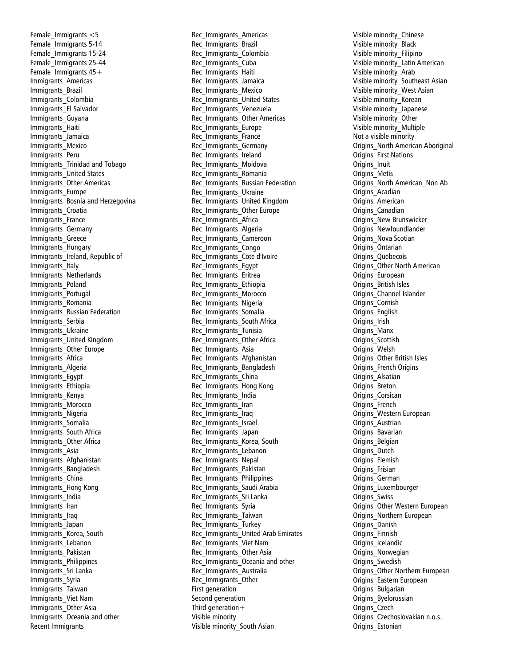Female Immigrants  $<$  5 Female\_Immigrants 5 -14 Female\_Immigrants 15 -24 Female\_Immigrants 25 -44 Female Immigrants  $45+$ Immigrants\_Americas Immigrants\_Brazil Immigrants\_Colombia Immigrants\_El Salvador Immigrants\_Guyana Immigrants\_Haiti Immigrants\_Jamaica Immigrants\_Mexico Immigrants\_Per u Immigrants\_Trinidad and Tobago Immigrants\_United States Immigrants\_Other Americas Immigrants\_Europe Immigrants\_Bosnia and Herzegovina Immigrants\_Croatia Immigrants\_France Immigrants\_Germany Immigrants\_Greece Immigrants\_Hungary Immigrants\_Ireland, Republic of Immigrants\_Italy Immigrants\_Netherlands Immigrants\_Poland Immigrants\_Portugal Immigrants\_Romania Immigrants\_Russian Federation Immigrants\_Serbia Immigrants\_Ukraine Immigrants\_United Kingdom Immigrants\_Other Europe Immigrants\_Africa Immigrants\_Algeria Immigrants\_Egypt Immigrants\_Ethiopia Immigrants\_Kenya Immigrants\_Morocco Immigrants\_Nigeria Immigrants\_Somalia Immigrants\_South Africa Immigrants\_Other Africa Immigrants\_Asia Immigrants\_Afghanistan Immigrants\_Bangladesh Immigrants\_China Immigrants\_Hong Kong Immigrants\_India Immigrants\_Iran Immigrants\_Iraq Immigrants\_Japan Immigrants\_Korea, South Immigrants\_Lebanon Immigrants\_Pakistan Immigrants\_Philippines Immigrants\_Sri Lanka Immigrants\_Syria Immigrants\_Taiwan Immigrants\_Viet Nam Immigrants\_Other Asia Immigrants\_Oceania and other Recent Immigrants

Rec\_Immigrants\_Americas Rec\_Immigrants\_Brazil Rec\_Immigrants\_Colombia Rec\_Immigrants\_Cuba Rec\_Immigrants\_Haiti Rec\_Immigrants\_Jamaica Rec Immigrants Mexico Rec\_Immigrants\_United States Rec\_Immigrants\_Venezuela Rec\_Immigrants\_Other Americas Rec\_Immigrants\_Europe Rec Immigrants France Rec\_Immigrants\_Germany Rec\_Immigrants\_Ireland Rec\_Immigrants\_Moldova Rec\_Immigrants\_Romania Rec\_Immigrants\_Russian Federation Rec\_Immigrants\_Ukraine Rec\_Immigrants\_United Kingdom Rec\_Immigrants\_Other Europe Rec\_Immigrants\_Africa Rec Immigrants Algeria Rec\_Immigrants\_Cameroon Rec Immigrants Congo Rec\_Immigrants\_Cote d'Ivoire Rec\_Immigrants\_Egypt Rec\_Immigrants\_Eritrea Rec\_Immigrants\_Ethiopia Rec\_Immigrants\_Morocco Rec\_Immigrants\_Nigeria Rec\_Immigrants\_Somalia Rec\_Immigrants\_South Africa Rec\_Immigrants\_Tunisia Rec\_Immigrants\_Other Africa Rec\_Immigrants\_Asia Rec\_Immigrants\_Afghanistan Rec\_Immigrants\_Bangladesh Rec\_Immigrants\_China Rec\_Immigrants\_Hong Kong Rec\_Immigrants\_India Rec\_Immigrants\_Iran Rec\_Immigrants\_Iraq Rec\_Immigrants\_Israel Rec\_Immigrants\_Japan Rec\_Immigrants\_Korea, South Rec\_Immigrants\_Lebanon Rec\_Immigrants\_Nepal Rec\_Immigrants\_Pakistan Rec\_Immigrants\_Philippines Rec\_Immigrants\_Saudi Arabia Rec\_Immigrants\_Sri Lanka Rec\_Immigrants\_Syria Rec\_Immigrants\_Taiwan Rec Immigrants Turkey Rec\_Immigrants\_United Arab Emirates Rec\_Immigrants\_Viet Nam Rec\_Immigrants\_Other Asia Rec\_Immigrants\_Oceania and other Rec\_Immigrants\_Australia Rec\_Immigrants\_Other First generation Second generation Third generation $+$ Visible minority Visible minority\_South Asian

Visible minority\_Chinese Visible minority\_Black Visible minority\_Filipino Visible minority\_Latin American Visible minority\_Arab Visible minority\_Southeast Asian Visible minority\_West Asian Visible minority\_Korean Visible minority\_Japanese Visible minority\_Other Visible minority\_Multiple Not a visible minority Origins\_North American Aboriginal Origins\_First Nations Origins\_Inuit Origins\_Metis Origins\_North American\_Non Ab Origins\_Acadian Origins\_American Origins\_Canadian Origins\_New Brunswicker Origins\_Newfoundlander Origins\_Nova Scotian Origins\_Ontarian Origins\_Quebecois Origins\_Other North American Origins\_European Origins\_British Isles Origins\_Channel Islander Origins\_Cornish Origins\_English Origins\_Irish Origins\_Manx Origins\_Scottish Origins\_Welsh Origins\_Other British Isles Origins\_French Origins Origins\_Alsatian Origins\_Breton Origins\_Corsican Origins\_French Origins\_Western European Origins\_Austrian Origins\_Bavarian Origins\_Belgian Origins\_Dutch Origins\_Flemish Origins\_Frisian Origins\_German Origins\_Luxembourger Origins\_Swiss Origins\_Other Western European Origins\_Northern European Origins\_Danish Origins\_Finnish Origins\_Icelandic Origins\_Norwegian Origins\_Swedish Origins\_Other Northern European Origins\_Eastern European Origins\_Bulgarian Origins\_Byelorussian Origins\_Czech Origins Czechoslovakian n.o.s. Origins\_Estonian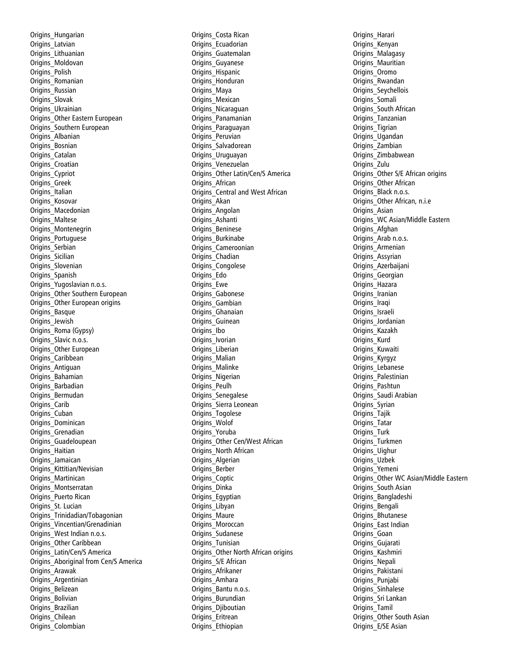Origins\_Hungarian Origins\_Latvian Origins\_Lithuanian Origins\_Moldovan Origins\_Polish Origins\_Romanian Origins\_Russian Origins\_Slovak Origins\_Ukrainian Origins\_Other Eastern European Origins\_Southern European Origins\_Albanian Origins\_Bosnian Origins\_Catalan Origins\_Croatian Origins\_Cypriot Origins\_Greek Origins\_Italian Origins\_Kosovar Origins\_Macedonian Origins\_Maltese Origins\_Montenegrin Origins\_Portuguese Origins\_Serbian Origins\_Sicilian Origins\_Slovenian Origins\_Spanish Origins\_Yugoslavian n.o.s. Origins\_Other Southern European Origins\_Other European origins Origins\_Basque Origins\_Jewish Origins\_Roma (Gypsy) Origins Slavic n.o.s. Origins\_Other European Origins<sup>-</sup>Caribbean Origins\_Antiguan Origins\_Bahamian Origins\_Barbadian Origins\_Bermudan Origins\_Carib Origins\_Cuban Origins\_Dominican Origins\_Grenadian Origins\_Guadeloupean Origins\_Haitian Origins\_Jamaican Origins\_Kittitian/Nevisian Origins\_Martinican Origins\_Montserratan Origins\_Puerto Rican Origins\_St. Lucian Origins\_Trinidadian/Tobagonian Origins\_Vincentian/Grenadinian Origins\_West Indian n.o.s. Origins\_Other Caribbean Origins\_Latin/Cen/S America Origins\_Aboriginal from Cen/S America Origins\_Arawak Origins\_Argentinian Origins\_Belizean Origins\_Bolivian Origins\_Brazilian Origins\_Chilean Origins\_Colombian

Origins\_Costa Rican Origins\_Ecuadorian Origins\_Guatemalan Origins\_Guyanese Origins\_Hispanic Origins\_Honduran Origins\_Maya Origins\_Mexican Origins\_Nicaraguan Origins\_Panamanian Origins\_Paraguayan Origins\_Peruvian Origins\_Salvadorean Origins\_Uruguayan Origins\_Venezuelan Origins\_Other Latin/Cen/S America Origins\_African Origins\_Central and West African Origins\_Akan Origins\_Angolan Origins\_Ashanti Origins\_Beninese Origins\_Burkinabe Origins\_Cameroonian Origins\_Chadian Origins\_Congolese Origins\_Edo Origins\_Ewe Origins\_Gabonese Origins\_Gambian Origins\_Ghanaian Origins\_Guinean Origins\_Ibo Origins\_Ivorian Origins\_Liberian Origins<sup>-</sup>Malian Origins\_Malinke Origins\_Nigerian Origins\_Peulh Origins\_Senegalese Origins\_Sierra Leonean Origins\_Togolese Origins\_Wolof Origins\_Yoruba Origins\_Other Cen/West African Origins\_North African Origins\_Algerian Origins\_Berber Origins\_Coptic Origins\_Dinka Origins\_Egyptian Origins\_Libyan Origins\_Maure Origins\_Moroccan Origins\_Sudanese Origins\_Tunisian Origins\_Other North African origins Origins\_S/E African Origins\_Afrikaner Origins\_Amhara Origins\_Bantu n.o.s. Origins\_Burundian Origins\_Djiboutian Origins\_Eritrean Origins\_Ethiopian

Origins\_Harari Origins\_Kenyan Origins\_Malagasy Origins Mauritian Origins\_Oromo Origins\_Rwandan Origins\_Seychellois Origins\_Somali Origins\_South African Origins\_Tanzanian Origins\_Tigrian Origins\_Ugandan Origins\_Zambian Origins\_Zimbabwean Origins\_Zulu Origins\_Other S/E African origins Origins\_Other African Origins\_Black n.o.s. Origins\_Other African, n.i.e Origins\_Asian Origins WC Asian/Middle Eastern Origins\_Afghan Origins\_Arab n.o.s. Origins\_Armenian Origins\_Assyrian Origins\_Azerbaijani Origins\_Georgian Origins\_Hazara Origins\_Iranian Origins\_Iraqi Origins\_Israeli Origins\_Jordanian Origins\_Kazakh Origins\_Kurd Origins\_Kuwaiti Origins\_Kyrgyz Origins\_Lebanese Origins\_Palestinian Origins\_Pashtun Origins\_Saudi Arabian Origins\_Syrian Origins\_Tajik Origins\_Tatar Origins\_Turk Origins\_Turkmen Origins\_Uighur Origins\_Uzbek Origins\_Yemeni Origins\_Other WC Asian/Middle Eastern Origins\_South Asian Origins\_Bangladeshi Origins\_Bengali Origins\_Bhutanese Origins\_East Indian Origins\_Goan Origins\_Gujarati Origins\_Kashmiri Origins\_Nepali Origins\_Pakistani Origins\_Punjabi Origins\_Sinhalese Origins\_Sri Lankan Origins\_Tamil Origins\_Other South Asian Origins\_E/SE Asian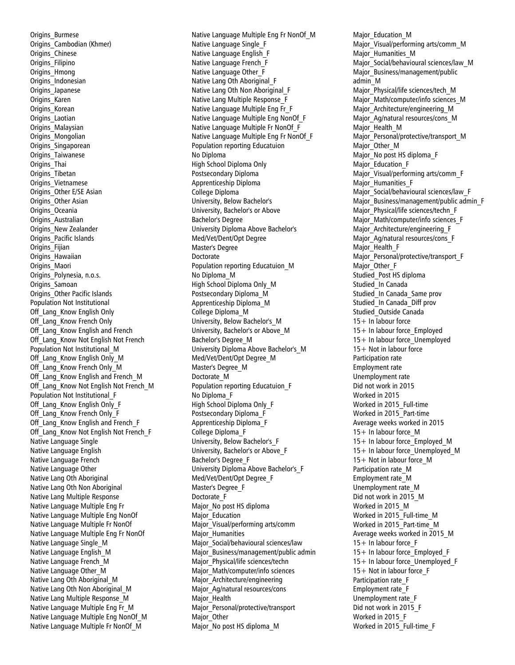Origins\_Burmese Origins\_Cambodian (Khmer) Origins\_Chinese Origins\_Filipino Origins\_Hmong Origins\_Indonesian Origins\_Japanese Origins\_Karen Origins\_Korean Origins\_Laotian Origins\_Malaysian Origins\_Mongolian Origins\_Singaporean Origins\_Taiwanese Origins\_Thai Origins\_Tibetan Origins\_Vietnamese Origins\_Other E/SE Asian Origins\_Other Asian Origins\_Oceania Origins\_Australian Origins\_New Zealander Origins\_Pacific Islands Origins\_Fijian Origins\_Hawaiian Origins\_Maori Origins\_Polynesia, n.o.s. Origins\_Samoan Origins\_Other Pacific Islands Population Not Institutional Off Lang Know English Only Off Lang Know French Only Off Lang Know English and French Off Lang Know Not English Not French Population Not Institutional\_M Off Lang Know English Only M Off Lang Know French Only M Off Lang Know English and French M Off Lang Know Not English Not French M Population Not Institutional\_F Off Lang Know English Only F Off Lang Know French Only F Off Lang Know English and French F Off Lang Know Not English Not French F Native Language Single Native Language English Native Language French Native Language Other Native Lang Oth Aboriginal Native Lang Oth Non Aboriginal Native Lang Multiple Response Native Language Multiple Eng Fr Native Language Multiple Eng NonOf Native Language Multiple Fr NonOf Native Language Multiple Eng Fr NonOf Native Language Single\_M Native Language English\_M Native Language French\_M Native Language Other\_M Native Lang Oth Aboriginal\_M Native Lang Oth Non Aboriginal\_M Native Lang Multiple Response\_M Native Language Multiple Eng Fr\_M Native Language Multiple Eng NonOf\_M Native Language Multiple Fr NonOf\_M

Native Language Multiple Eng Fr NonOf\_M Native Language Single\_F Native Language English\_F Native Language French\_F Native Language Other\_F Native Lang Oth Aboriginal\_F Native Lang Oth Non Aboriginal\_F Native Lang Multiple Response\_F Native Language Multiple Eng Fr\_F Native Language Multiple Eng NonOf\_F Native Language Multiple Fr NonOf\_F Native Language Multiple Eng Fr NonOf\_F Population reporting Educatuion No Diploma High School Diploma Only Postsecondary Diploma Apprenticeship Diploma College Diploma University, Below Bachelor's University, Bachelor's or Above Bachelor's Degree University Diploma Above Bachelor's Med/Vet/Dent/Opt Degree Master's Degree Doctorate Population reporting Educatuion\_M No Diploma\_M High School Diploma Only\_M Postsecondary Diploma\_M Apprenticeship Diploma\_M College Diploma\_M University, Below Bachelor's\_M University, Bachelor's or Above\_M Bachelor's Degree\_M University Diploma Above Bachelor's\_M Med/Vet/Dent/Opt Degree\_M Master's Degree\_M Doctorate\_M Population reporting Educatuion\_F No Diploma\_F High School Diploma Only\_F Postsecondary Diploma\_F Apprenticeship Diploma\_F College Diploma\_F University, Below Bachelor's\_F University, Bachelor's or Above\_F Bachelor's Degree\_F University Diploma Above Bachelor's\_F Med/Vet/Dent/Opt Degree\_F Master's Degree\_F Doctorate\_F Major\_No post HS diploma Major\_Education Major\_Visual/performing arts/comm Major Humanities Major\_Social/behavioural sciences/law Major\_Business/management/public admin Major Physical/life sciences/techn Major\_Math/computer/info sciences Major\_Architecture/engineering Major\_Ag/natural resources/cons Major Health Major\_Personal/protective/transport Major Other Major\_No post HS diploma\_M

Major Education M Major\_Visual/performing arts/comm\_M Major\_Humanities\_M Major\_Social/behavioural sciences/law\_M Major\_Business/management/public admin\_M Major\_Physical/life sciences/tech\_M Major\_Math/computer/info sciences\_M Major\_Architecture/engineering\_M Major\_Ag/natural resources/cons\_M Major Health M Major\_Personal/protective/transport\_M Major\_Other\_M Major\_No post HS diploma\_F Major\_Education\_F Major\_Visual/performing arts/comm\_F Major Humanities F Major\_Social/behavioural sciences/law\_F Major\_Business/management/public admin\_F Major\_Physical/life sciences/techn\_F Major\_Math/computer/info sciences\_F Major Architecture/engineering F Major\_Ag/natural resources/cons\_F Major Health F Major\_Personal/protective/transport\_F Major Other F Studied\_Post HS diploma Studied In Canada Studied\_In Canada\_Same prov Studied\_In Canada\_Diff prov Studied\_Outside Canada 15+ In labour force 15+ In labour force\_Employed 15+ In labour force\_Unemployed 15+ Not in labour force Participation rate Employment rate Unemployment rate Did not work in 2015 Worked in 2015 Worked in 2015\_Full-time Worked in 2015\_Part-time Average weeks worked in 2015 15+ In labour force\_M 15+ In labour force\_Employed\_M 15+ In labour force\_Unemployed\_M 15+ Not in labour force\_M Participation rate\_M Employment rate\_M Unemployment rate\_M Did not work in 2015\_M Worked in 2015\_M Worked in 2015\_Full-time\_M Worked in 2015\_Part-time\_M Average weeks worked in 2015\_M 15+ In labour force\_F 15+ In labour force\_Employed\_F 15+ In labour force\_Unemployed\_F 15+ Not in labour force\_F Participation rate\_F Employment rate\_F Unemployment rate\_F Did not work in 2015\_F Worked in 2015\_F Worked in 2015\_Full-time\_F